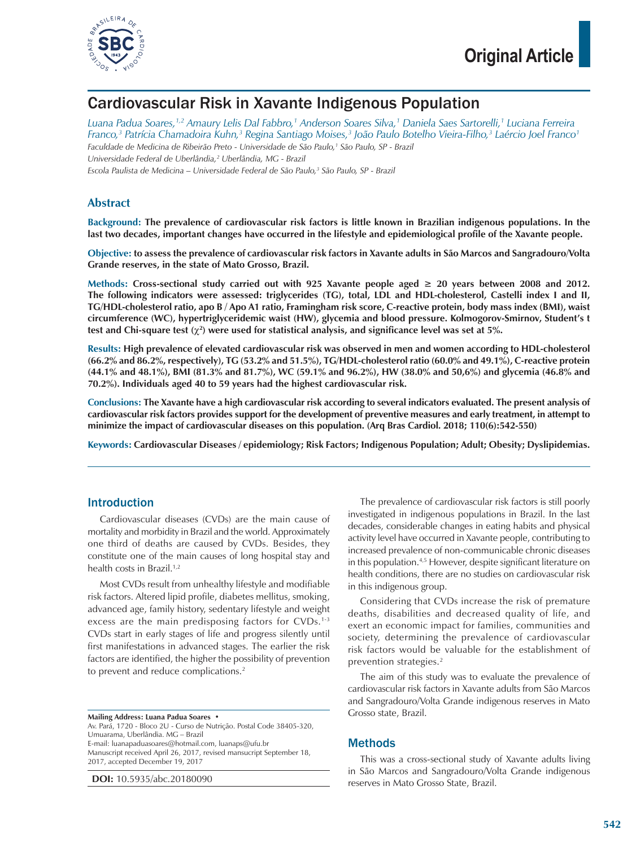

## Cardiovascular Risk in Xavante Indigenous Population

*Luana Padua Soares,1,2 Amaury Lelis Dal Fabbro,1 Anderson Soares Silva,1 Daniela Saes Sartorelli,1 Luciana Ferreira Franco,3 Patrícia Chamadoira Kuhn,3 Regina Santiago Moises,3 João Paulo Botelho Vieira-Filho,3 Laércio Joel Franco1 Faculdade de Medicina de Ribeirão Preto - Universidade de São Paulo,1 São Paulo, SP - Brazil Universidade Federal de Uberlândia,2 Uberlândia, MG - Brazil*

Escola Paulista de Medicina – Universidade Federal de São Paulo,<sup>3</sup> São Paulo, SP - Brazil

### **Abstract**

**Background: The prevalence of cardiovascular risk factors is little known in Brazilian indigenous populations. In the last two decades, important changes have occurred in the lifestyle and epidemiological profile of the Xavante people.**

**Objective: to assess the prevalence of cardiovascular risk factors in Xavante adults in São Marcos and Sangradouro/Volta Grande reserves, in the state of Mato Grosso, Brazil.**

**Methods: Cross-sectional study carried out with 925 Xavante people aged ≥ 20 years between 2008 and 2012. The following indicators were assessed: triglycerides (TG), total, LDL and HDL-cholesterol, Castelli index I and II, TG/HDL-cholesterol ratio, apo B / Apo A1 ratio, Framingham risk score, C-reactive protein, body mass index (BMI), waist circumference (WC), hypertriglyceridemic waist (HW), glycemia and blood pressure. Kolmogorov-Smirnov, Student's t test and Chi-square test (**χ**<sup>2</sup> ) were used for statistical analysis, and significance level was set at 5%.** 

**Results: High prevalence of elevated cardiovascular risk was observed in men and women according to HDL-cholesterol (66.2% and 86.2%, respectively), TG (53.2% and 51.5%), TG/HDL-cholesterol ratio (60.0% and 49.1%), C-reactive protein (44.1% and 48.1%), BMI (81.3% and 81.7%), WC (59.1% and 96.2%), HW (38.0% and 50,6%) and glycemia (46.8% and 70.2%). Individuals aged 40 to 59 years had the highest cardiovascular risk.**

**Conclusions: The Xavante have a high cardiovascular risk according to several indicators evaluated. The present analysis of cardiovascular risk factors provides support for the development of preventive measures and early treatment, in attempt to minimize the impact of cardiovascular diseases on this population. (Arq Bras Cardiol. 2018; 110(6):542-550)**

**Keywords: Cardiovascular Diseases / epidemiology; Risk Factors; Indigenous Population; Adult; Obesity; Dyslipidemias.**

### Introduction

Cardiovascular diseases (CVDs) are the main cause of mortality and morbidity in Brazil and the world. Approximately one third of deaths are caused by CVDs. Besides, they constitute one of the main causes of long hospital stay and health costs in Brazil.<sup>1,2</sup>

Most CVDs result from unhealthy lifestyle and modifiable risk factors. Altered lipid profile, diabetes mellitus, smoking, advanced age, family history, sedentary lifestyle and weight excess are the main predisposing factors for CVDs.<sup>1-3</sup> CVDs start in early stages of life and progress silently until first manifestations in advanced stages. The earlier the risk factors are identified, the higher the possibility of prevention to prevent and reduce complications.<sup>2</sup>

#### **Mailing Address: Luana Padua Soares •**

Av. Pará, 1720 - Bloco 2U - Curso de Nutrição. Postal Code 38405-320, Umuarama, Uberlândia. MG – Brazil E-mail: luanapaduasoares@hotmail.com, luanaps@ufu.br Manuscript received April 26, 2017, revised mansucript September 18, 2017, accepted December 19, 2017

**DOI:** 10.5935/abc.20180090

The prevalence of cardiovascular risk factors is still poorly investigated in indigenous populations in Brazil. In the last decades, considerable changes in eating habits and physical activity level have occurred in Xavante people, contributing to increased prevalence of non-communicable chronic diseases in this population.4,5 However, despite significant literature on health conditions, there are no studies on cardiovascular risk in this indigenous group.

Considering that CVDs increase the risk of premature deaths, disabilities and decreased quality of life, and exert an economic impact for families, communities and society, determining the prevalence of cardiovascular risk factors would be valuable for the establishment of prevention strategies.2

The aim of this study was to evaluate the prevalence of cardiovascular risk factors in Xavante adults from São Marcos and Sangradouro/Volta Grande indigenous reserves in Mato Grosso state, Brazil.

### **Methods**

This was a cross-sectional study of Xavante adults living in São Marcos and Sangradouro/Volta Grande indigenous reserves in Mato Grosso State, Brazil.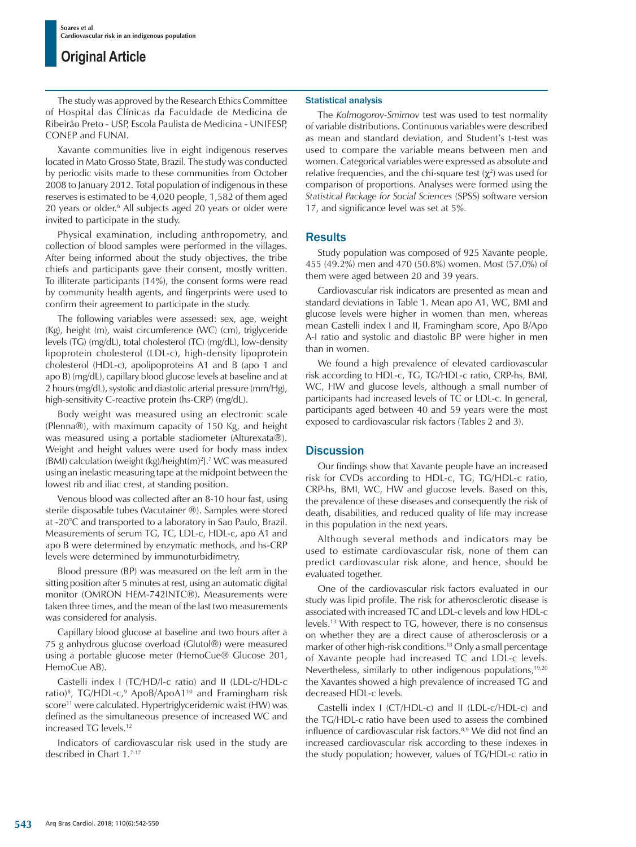The study was approved by the Research Ethics Committee of Hospital das Clínicas da Faculdade de Medicina de Ribeirão Preto - USP, Escola Paulista de Medicina - UNIFESP, CONEP and FUNAI.

Xavante communities live in eight indigenous reserves located in Mato Grosso State, Brazil. The study was conducted by periodic visits made to these communities from October 2008 to January 2012. Total population of indigenous in these reserves is estimated to be 4,020 people, 1,582 of them aged 20 years or older.<sup>6</sup> All subjects aged 20 years or older were invited to participate in the study.

Physical examination, including anthropometry, and collection of blood samples were performed in the villages. After being informed about the study objectives, the tribe chiefs and participants gave their consent, mostly written. To illiterate participants (14%), the consent forms were read by community health agents, and fingerprints were used to confirm their agreement to participate in the study.

The following variables were assessed: sex, age, weight (Kg), height (m), waist circumference (WC) (cm), triglyceride levels (TG) (mg/dL), total cholesterol (TC) (mg/dL), low-density lipoprotein cholesterol (LDL-c), high-density lipoprotein cholesterol (HDL-c), apolipoproteins A1 and B (apo 1 and apo B) (mg/dL), capillary blood glucose levels at baseline and at 2 hours (mg/dL), systolic and diastolic arterial pressure (mm/Hg), high-sensitivity C-reactive protein (hs-CRP) (mg/dL).

Body weight was measured using an electronic scale (Plenna®), with maximum capacity of 150 Kg, and height was measured using a portable stadiometer (Alturexata®). Weight and height values were used for body mass index (BMI) calculation (weight (kg)/height(m)<sup>2</sup>].<sup>7</sup> WC was measured using an inelastic measuring tape at the midpoint between the lowest rib and iliac crest, at standing position.

Venous blood was collected after an 8-10 hour fast, using sterile disposable tubes (Vacutainer ®). Samples were stored at -20°C and transported to a laboratory in Sao Paulo, Brazil. Measurements of serum TG, TC, LDL-c, HDL-c, apo A1 and apo B were determined by enzymatic methods, and hs-CRP levels were determined by immunoturbidimetry.

Blood pressure (BP) was measured on the left arm in the sitting position after 5 minutes at rest, using an automatic digital monitor (OMRON HEM-742INTC®). Measurements were taken three times, and the mean of the last two measurements was considered for analysis.

Capillary blood glucose at baseline and two hours after a 75 g anhydrous glucose overload (Glutol®) were measured using a portable glucose meter (HemoCue® Glucose 201, HemoCue AB).

Castelli index I (TC/HD/l-c ratio) and II (LDL-c/HDL-c ratio)<sup>8</sup>, TG/HDL-c,<sup>9</sup> ApoB/ApoA1<sup>10</sup> and Framingham risk score<sup>11</sup> were calculated. Hypertriglyceridemic waist (HW) was defined as the simultaneous presence of increased WC and increased TG levels.12

Indicators of cardiovascular risk used in the study are described in Chart 1.7-17

#### Statistical analysis

The *Kolmogorov-Smirnov* test was used to test normality of variable distributions. Continuous variables were described as mean and standard deviation, and Student's t-test was used to compare the variable means between men and women. Categorical variables were expressed as absolute and relative frequencies, and the chi-square test  $(\chi^2)$  was used for comparison of proportions. Analyses were formed using the *Statistical Package for Social Sciences* (SPSS) software version 17, and significance level was set at 5%.

### **Results**

Study population was composed of 925 Xavante people, 455 (49.2%) men and 470 (50.8%) women. Most (57.0%) of them were aged between 20 and 39 years.

Cardiovascular risk indicators are presented as mean and standard deviations in Table 1. Mean apo A1, WC, BMI and glucose levels were higher in women than men, whereas mean Castelli index I and II, Framingham score, Apo B/Apo A-I ratio and systolic and diastolic BP were higher in men than in women.

We found a high prevalence of elevated cardiovascular risk according to HDL-c, TG, TG/HDL-c ratio, CRP-hs, BMI, WC, HW and glucose levels, although a small number of participants had increased levels of TC or LDL-c. In general, participants aged between 40 and 59 years were the most exposed to cardiovascular risk factors (Tables 2 and 3).

### **Discussion**

Our findings show that Xavante people have an increased risk for CVDs according to HDL-c, TG, TG/HDL-c ratio, CRP-hs, BMI, WC, HW and glucose levels. Based on this, the prevalence of these diseases and consequently the risk of death, disabilities, and reduced quality of life may increase in this population in the next years.

Although several methods and indicators may be used to estimate cardiovascular risk, none of them can predict cardiovascular risk alone, and hence, should be evaluated together.

One of the cardiovascular risk factors evaluated in our study was lipid profile. The risk for atherosclerotic disease is associated with increased TC and LDL-c levels and low HDL-c levels.13 With respect to TG, however, there is no consensus on whether they are a direct cause of atherosclerosis or a marker of other high-risk conditions.18 Only a small percentage of Xavante people had increased TC and LDL-c levels. Nevertheless, similarly to other indigenous populations,<sup>19,20</sup> the Xavantes showed a high prevalence of increased TG and decreased HDL-c levels.

Castelli index I (CT/HDL-c) and II (LDL-c/HDL-c) and the TG/HDL-c ratio have been used to assess the combined influence of cardiovascular risk factors.<sup>8,9</sup> We did not find an increased cardiovascular risk according to these indexes in the study population; however, values of TG/HDL-c ratio in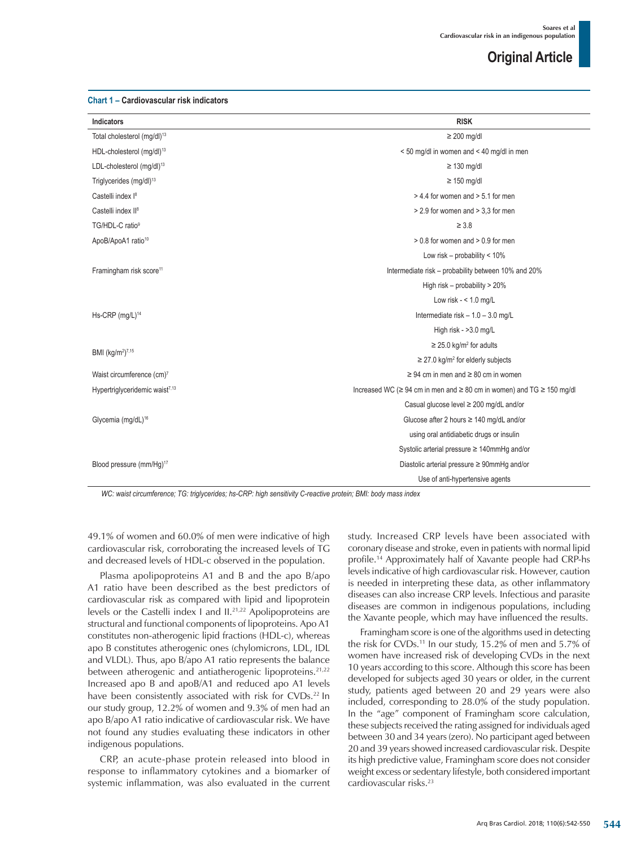#### **Chart 1 – Cardiovascular risk indicators**

| <b>Indicators</b>                          | <b>RISK</b>                                                                           |  |  |  |  |
|--------------------------------------------|---------------------------------------------------------------------------------------|--|--|--|--|
| Total cholesterol (mg/dl) <sup>13</sup>    | $\geq 200$ mg/dl                                                                      |  |  |  |  |
| HDL-cholesterol (mg/dl) <sup>13</sup>      | < 50 mg/dl in women and < 40 mg/dl in men                                             |  |  |  |  |
| LDL-cholesterol (mg/dl) <sup>13</sup>      | $\geq$ 130 mg/dl                                                                      |  |  |  |  |
| Triglycerides (mg/dl) <sup>13</sup>        | $\geq$ 150 mg/dl                                                                      |  |  |  |  |
| Castelli index l <sup>8</sup>              | $> 4.4$ for women and $> 5.1$ for men                                                 |  |  |  |  |
| Castelli index II <sup>8</sup>             | > 2.9 for women and > 3,3 for men                                                     |  |  |  |  |
| TG/HDL-C ratio <sup>9</sup>                | $\geq 3.8$                                                                            |  |  |  |  |
| ApoB/ApoA1 ratio <sup>10</sup>             | $> 0.8$ for women and $> 0.9$ for men                                                 |  |  |  |  |
|                                            | Low risk – probability < $10\%$                                                       |  |  |  |  |
| Framingham risk score <sup>11</sup>        | Intermediate risk – probability between 10% and 20%                                   |  |  |  |  |
|                                            | High risk - probability > 20%                                                         |  |  |  |  |
|                                            | Low risk $- < 1.0$ mg/L                                                               |  |  |  |  |
| Hs-CRP (mg/L) <sup>14</sup>                | Intermediate risk $-1.0 - 3.0$ mg/L                                                   |  |  |  |  |
|                                            | High risk - >3.0 mg/L                                                                 |  |  |  |  |
|                                            | $\geq$ 25.0 kg/m <sup>2</sup> for adults                                              |  |  |  |  |
| BMI (kg/m <sup>2</sup> ) <sup>7,15</sup>   | $\geq$ 27.0 kg/m <sup>2</sup> for elderly subjects                                    |  |  |  |  |
| Waist circumference (cm)7                  | $\geq$ 94 cm in men and $\geq$ 80 cm in women                                         |  |  |  |  |
| Hypertriglyceridemic waist <sup>7,13</sup> | Increased WC ( $\geq$ 94 cm in men and $\geq$ 80 cm in women) and TG $\geq$ 150 mg/dl |  |  |  |  |
|                                            | Casual glucose level ≥ 200 mg/dL and/or                                               |  |  |  |  |
| Glycemia (mg/dL) <sup>16</sup>             | Glucose after 2 hours $\geq$ 140 mg/dL and/or                                         |  |  |  |  |
|                                            | using oral antidiabetic drugs or insulin                                              |  |  |  |  |
|                                            | Systolic arterial pressure ≥ 140mmHg and/or                                           |  |  |  |  |
| Blood pressure (mm/Hg) <sup>17</sup>       | Diastolic arterial pressure ≥ 90mmHg and/or                                           |  |  |  |  |
|                                            | Use of anti-hypertensive agents                                                       |  |  |  |  |

*WC: waist circumference; TG: triglycerides; hs-CRP: high sensitivity C-reactive protein; BMI: body mass index*

49.1% of women and 60.0% of men were indicative of high cardiovascular risk, corroborating the increased levels of TG and decreased levels of HDL-c observed in the population.

Plasma apolipoproteins A1 and B and the apo B/apo A1 ratio have been described as the best predictors of cardiovascular risk as compared with lipid and lipoprotein levels or the Castelli index I and II.21,22 Apolipoproteins are structural and functional components of lipoproteins. Apo A1 constitutes non-atherogenic lipid fractions (HDL-c), whereas apo B constitutes atherogenic ones (chylomicrons, LDL, IDL and VLDL). Thus, apo B/apo A1 ratio represents the balance between atherogenic and antiatherogenic lipoproteins.<sup>21,22</sup> Increased apo B and apoB/A1 and reduced apo A1 levels have been consistently associated with risk for CVDs.<sup>22</sup> In our study group, 12.2% of women and 9.3% of men had an apo B/apo A1 ratio indicative of cardiovascular risk. We have not found any studies evaluating these indicators in other indigenous populations.

CRP, an acute-phase protein released into blood in response to inflammatory cytokines and a biomarker of systemic inflammation, was also evaluated in the current study. Increased CRP levels have been associated with coronary disease and stroke, even in patients with normal lipid profile.14 Approximately half of Xavante people had CRP-hs levels indicative of high cardiovascular risk. However, caution is needed in interpreting these data, as other inflammatory diseases can also increase CRP levels. Infectious and parasite diseases are common in indigenous populations, including the Xavante people, which may have influenced the results.

Framingham score is one of the algorithms used in detecting the risk for CVDs.11 In our study, 15.2% of men and 5.7% of women have increased risk of developing CVDs in the next 10 years according to this score. Although this score has been developed for subjects aged 30 years or older, in the current study, patients aged between 20 and 29 years were also included, corresponding to 28.0% of the study population. In the "age" component of Framingham score calculation, these subjects received the rating assigned for individuals aged between 30 and 34 years (zero). No participant aged between 20 and 39 years showed increased cardiovascular risk. Despite its high predictive value, Framingham score does not consider weight excess or sedentary lifestyle, both considered important cardiovascular risks.23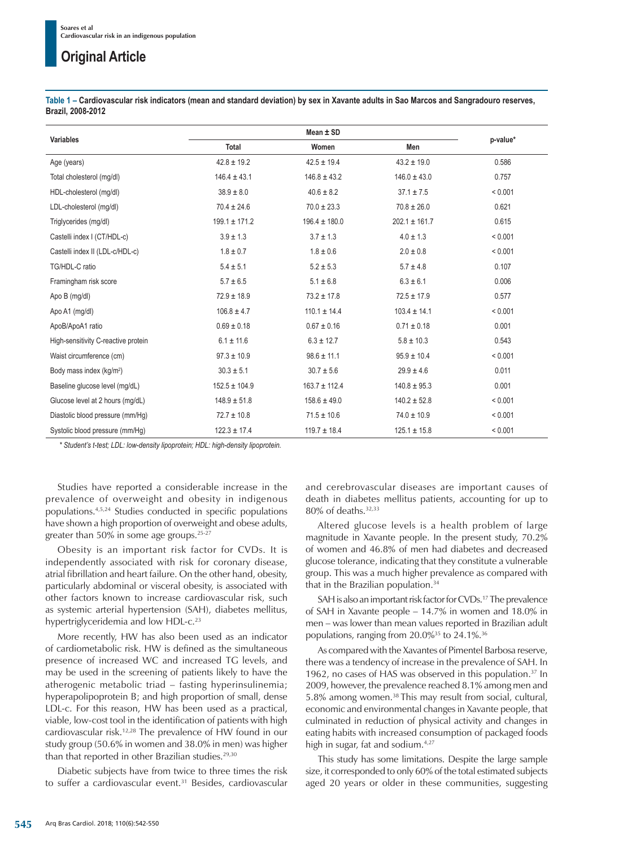**Table 1 – Cardiovascular risk indicators (mean and standard deviation) by sex in Xavante adults in Sao Marcos and Sangradouro reserves, Brazil, 2008-2012**

| <b>Variables</b>                     |                                      | p-value*          |                   |         |
|--------------------------------------|--------------------------------------|-------------------|-------------------|---------|
|                                      | <b>Total</b>                         | Women             | Men               |         |
| Age (years)                          | $42.8 \pm 19.2$                      | $42.5 \pm 19.4$   | $43.2 \pm 19.0$   | 0.586   |
| Total cholesterol (mg/dl)            | $146.4 \pm 43.1$<br>$146.8 \pm 43.2$ |                   | $146.0 \pm 43.0$  | 0.757   |
| HDL-cholesterol (mg/dl)              | $40.6 \pm 8.2$<br>$38.9 \pm 8.0$     |                   | $37.1 \pm 7.5$    | < 0.001 |
| LDL-cholesterol (mg/dl)              | $70.4 \pm 24.6$                      | $70.0 \pm 23.3$   | $70.8 \pm 26.0$   | 0.621   |
| Triglycerides (mg/dl)                | $199.1 \pm 171.2$                    | $196.4 \pm 180.0$ | $202.1 \pm 161.7$ | 0.615   |
| Castelli index I (CT/HDL-c)          | $3.9 \pm 1.3$                        | $3.7 \pm 1.3$     | $4.0 \pm 1.3$     | < 0.001 |
| Castelli index II (LDL-c/HDL-c)      | $1.8 \pm 0.6$<br>$1.8 \pm 0.7$       |                   | $2.0 \pm 0.8$     | < 0.001 |
| TG/HDL-C ratio                       | $5.4 \pm 5.1$<br>$5.2 \pm 5.3$       |                   | $5.7 \pm 4.8$     | 0.107   |
| Framingham risk score                | $5.7 \pm 6.5$<br>$5.1 \pm 6.8$       |                   | $6.3 \pm 6.1$     | 0.006   |
| Apo B (mg/dl)                        | $72.9 \pm 18.9$<br>$73.2 \pm 17.8$   |                   | $72.5 \pm 17.9$   | 0.577   |
| Apo A1 (mg/dl)                       | $106.8 \pm 4.7$<br>$110.1 \pm 14.4$  |                   | $103.4 \pm 14.1$  | < 0.001 |
| ApoB/ApoA1 ratio                     | $0.69 \pm 0.18$                      | $0.67 \pm 0.16$   | $0.71 \pm 0.18$   | 0.001   |
| High-sensitivity C-reactive protein  | $6.1 \pm 11.6$                       | $6.3 \pm 12.7$    | $5.8 \pm 10.3$    | 0.543   |
| Waist circumference (cm)             | $98.6 \pm 11.1$<br>$97.3 \pm 10.9$   |                   | $95.9 \pm 10.4$   | < 0.001 |
| Body mass index (kg/m <sup>2</sup> ) | $30.3 \pm 5.1$                       | $30.7 \pm 5.6$    | $29.9 \pm 4.6$    | 0.011   |
| Baseline glucose level (mg/dL)       | $152.5 \pm 104.9$                    | $163.7 \pm 112.4$ | $140.8 \pm 95.3$  | 0.001   |
| Glucose level at 2 hours (mg/dL)     | $158.6 \pm 49.0$<br>$148.9 \pm 51.8$ |                   | $140.2 \pm 52.8$  | < 0.001 |
| Diastolic blood pressure (mm/Hg)     | $72.7 \pm 10.8$                      | $71.5 \pm 10.6$   | $74.0 \pm 10.9$   | < 0.001 |
| Systolic blood pressure (mm/Hq)      | $122.3 \pm 17.4$                     | $119.7 \pm 18.4$  | $125.1 \pm 15.8$  | < 0.001 |

*\* Student's t-test; LDL: low-density lipoprotein; HDL: high-density lipoprotein.*

Studies have reported a considerable increase in the prevalence of overweight and obesity in indigenous populations.4,5,24 Studies conducted in specific populations have shown a high proportion of overweight and obese adults, greater than 50% in some age groups.25-27

Obesity is an important risk factor for CVDs. It is independently associated with risk for coronary disease, atrial fibrillation and heart failure. On the other hand, obesity, particularly abdominal or visceral obesity, is associated with other factors known to increase cardiovascular risk, such as systemic arterial hypertension (SAH), diabetes mellitus, hypertriglyceridemia and low HDL-c.<sup>23</sup>

More recently, HW has also been used as an indicator of cardiometabolic risk. HW is defined as the simultaneous presence of increased WC and increased TG levels, and may be used in the screening of patients likely to have the atherogenic metabolic triad – fasting hyperinsulinemia; hyperapolipoprotein B; and high proportion of small, dense LDL-c. For this reason, HW has been used as a practical, viable, low-cost tool in the identification of patients with high cardiovascular risk.12,28 The prevalence of HW found in our study group (50.6% in women and 38.0% in men) was higher than that reported in other Brazilian studies.<sup>29,30</sup>

Diabetic subjects have from twice to three times the risk to suffer a cardiovascular event.<sup>31</sup> Besides, cardiovascular and cerebrovascular diseases are important causes of death in diabetes mellitus patients, accounting for up to 80% of deaths.32,33

Altered glucose levels is a health problem of large magnitude in Xavante people. In the present study, 70.2% of women and 46.8% of men had diabetes and decreased glucose tolerance, indicating that they constitute a vulnerable group. This was a much higher prevalence as compared with that in the Brazilian population.<sup>34</sup>

SAH is also an important risk factor for CVDs.<sup>17</sup> The prevalence of SAH in Xavante people – 14.7% in women and 18.0% in men – was lower than mean values reported in Brazilian adult populations, ranging from 20.0%35 to 24.1%.36

As compared with the Xavantes of Pimentel Barbosa reserve, there was a tendency of increase in the prevalence of SAH. In 1962, no cases of HAS was observed in this population.<sup>37</sup> In 2009, however, the prevalence reached 8.1% among men and 5.8% among women.38 This may result from social, cultural, economic and environmental changes in Xavante people, that culminated in reduction of physical activity and changes in eating habits with increased consumption of packaged foods high in sugar, fat and sodium.<sup>4,27</sup>

This study has some limitations. Despite the large sample size, it corresponded to only 60% of the total estimated subjects aged 20 years or older in these communities, suggesting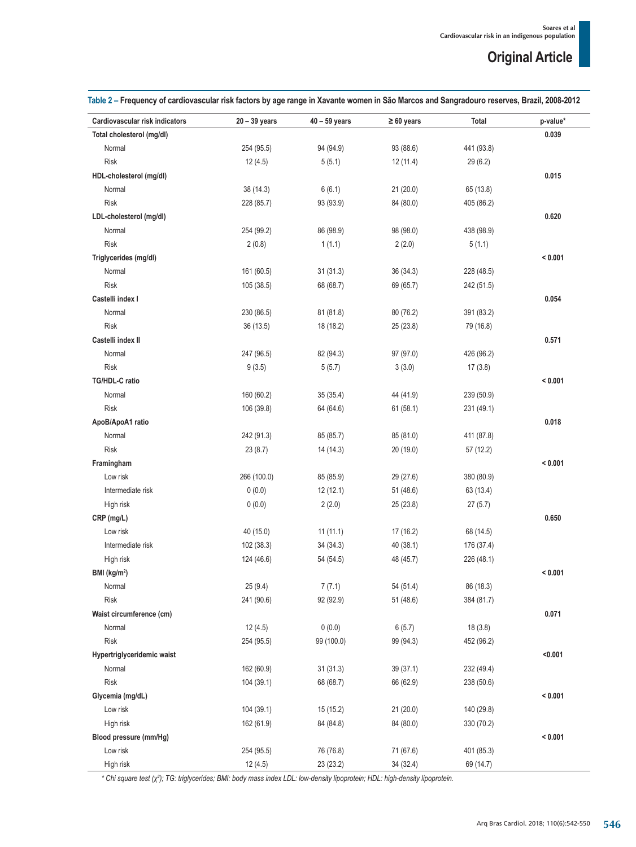| Table 2 – Frequency of cardiovascular risk factors by age range in Xavante women in São Marcos and Sangradouro reserves, Brazil, 2008-2012 |  |  |  |  |  |  |  |  |  |
|--------------------------------------------------------------------------------------------------------------------------------------------|--|--|--|--|--|--|--|--|--|
|--------------------------------------------------------------------------------------------------------------------------------------------|--|--|--|--|--|--|--|--|--|

| Cardiovascular risk indicators | $20 - 39$ years | $40 - 59$ years | $\geq 60$ years | Total      | p-value* |
|--------------------------------|-----------------|-----------------|-----------------|------------|----------|
| Total cholesterol (mg/dl)      |                 |                 |                 |            | 0.039    |
| Normal                         | 254 (95.5)      | 94 (94.9)       | 93 (88.6)       | 441 (93.8) |          |
| <b>Risk</b>                    | 12(4.5)         | 5(5.1)          | 12(11.4)        | 29(6.2)    |          |
| HDL-cholesterol (mg/dl)        |                 |                 |                 |            | 0.015    |
| Normal                         | 38(14.3)        | 6(6.1)          | 21(20.0)        | 65 (13.8)  |          |
| <b>Risk</b>                    | 228 (85.7)      | 93 (93.9)       | 84 (80.0)       | 405 (86.2) |          |
| LDL-cholesterol (mg/dl)        |                 |                 |                 |            | 0.620    |
| Normal                         | 254 (99.2)      | 86 (98.9)       | 98 (98.0)       | 438 (98.9) |          |
| <b>Risk</b>                    | 2(0.8)          | 1(1.1)          | 2(2.0)          | 5(1.1)     |          |
| Triglycerides (mg/dl)          |                 |                 |                 |            | < 0.001  |
| Normal                         | 161 (60.5)      | 31(31.3)        | 36(34.3)        | 228 (48.5) |          |
| <b>Risk</b>                    | 105 (38.5)      | 68 (68.7)       | 69 (65.7)       | 242 (51.5) |          |
| Castelli index I               |                 |                 |                 |            | 0.054    |
| Normal                         | 230 (86.5)      | 81 (81.8)       | 80 (76.2)       | 391 (83.2) |          |
| <b>Risk</b>                    | 36 (13.5)       | 18 (18.2)       | 25(23.8)        | 79 (16.8)  |          |
| Castelli index II              |                 |                 |                 |            | 0.571    |
| Normal                         | 247 (96.5)      | 82 (94.3)       | 97 (97.0)       | 426 (96.2) |          |
| <b>Risk</b>                    | 9(3.5)          | 5(5.7)          | 3(3.0)          | 17(3.8)    |          |
| TG/HDL-C ratio                 |                 |                 |                 |            | < 0.001  |
| Normal                         | 160 (60.2)      | 35(35.4)        | 44 (41.9)       | 239 (50.9) |          |
| <b>Risk</b>                    | 106 (39.8)      | 64 (64.6)       | 61(58.1)        | 231 (49.1) |          |
| ApoB/ApoA1 ratio               |                 |                 |                 |            | 0.018    |
| Normal                         | 242 (91.3)      | 85 (85.7)       | 85 (81.0)       | 411 (87.8) |          |
| <b>Risk</b>                    | 23(8.7)         | 14 (14.3)       | 20 (19.0)       | 57 (12.2)  |          |
| Framingham                     |                 |                 |                 |            | < 0.001  |
| Low risk                       | 266 (100.0)     | 85 (85.9)       | 29 (27.6)       | 380 (80.9) |          |
| Intermediate risk              | 0(0.0)          | 12(12.1)        | 51 (48.6)       | 63 (13.4)  |          |
| High risk                      | 0(0.0)          | 2(2.0)          | 25(23.8)        | 27(5.7)    |          |
| CRP (mg/L)                     |                 |                 |                 |            | 0.650    |
| Low risk                       | 40 (15.0)       | 11(11.1)        | 17(16.2)        | 68 (14.5)  |          |
| Intermediate risk              | 102 (38.3)      | 34(34.3)        | 40(38.1)        | 176 (37.4) |          |
| High risk                      | 124 (46.6)      | 54 (54.5)       | 48 (45.7)       | 226 (48.1) |          |
| BMI (kg/m <sup>2</sup> )       |                 |                 |                 |            | < 0.001  |
| Normal                         | 25 (9.4)        | 7(7.1)          | 54 (51.4)       | 86 (18.3)  |          |
| <b>Risk</b>                    | 241 (90.6)      | 92 (92.9)       | 51 (48.6)       | 384 (81.7) |          |
| Waist circumference (cm)       |                 |                 |                 |            | 0.071    |
| Normal                         | 12(4.5)         | 0(0.0)          | 6(5.7)          | 18(3.8)    |          |
| Risk                           | 254 (95.5)      | 99 (100.0)      | 99 (94.3)       | 452 (96.2) |          |
| Hypertriglyceridemic waist     |                 |                 |                 |            | < 0.001  |
| Normal                         | 162 (60.9)      | 31(31.3)        | 39 (37.1)       | 232 (49.4) |          |
| <b>Risk</b>                    | 104 (39.1)      | 68 (68.7)       | 66 (62.9)       | 238 (50.6) |          |
| Glycemia (mg/dL)               |                 |                 |                 |            | < 0.001  |
| Low risk                       | 104(39.1)       | 15 (15.2)       | 21 (20.0)       | 140 (29.8) |          |
| High risk                      | 162 (61.9)      | 84 (84.8)       | 84 (80.0)       | 330 (70.2) |          |
| Blood pressure (mm/Hg)         |                 |                 |                 |            | < 0.001  |
| Low risk                       | 254 (95.5)      | 76 (76.8)       | 71 (67.6)       | 401 (85.3) |          |
| High risk                      | 12 (4.5)        | 23 (23.2)       | 34 (32.4)       | 69 (14.7)  |          |

*\* Chi square test (χ<sup>2</sup> ); TG: triglycerides; BMI: body mass index LDL: low-density lipoprotein; HDL: high-density lipoprotein.*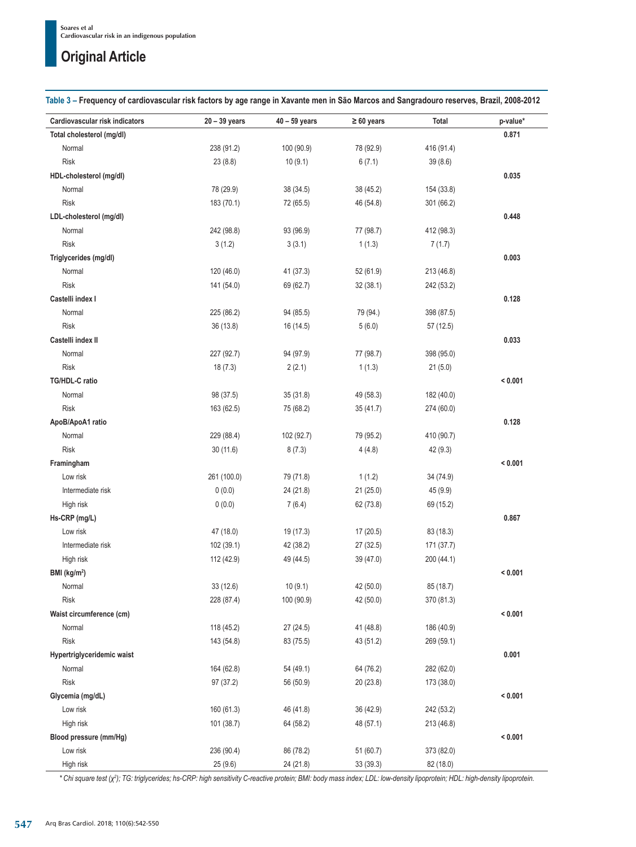**Table 3 – Frequency of cardiovascular risk factors by age range in Xavante men in São Marcos and Sangradouro reserves, Brazil, 2008-2012**

| Cardiovascular risk indicators | $20 - 39$ years | 40 - 59 years | $\geq 60$ years | Total      | p-value* |
|--------------------------------|-----------------|---------------|-----------------|------------|----------|
| Total cholesterol (mg/dl)      |                 |               |                 |            | 0.871    |
| Normal                         | 238 (91.2)      | 100 (90.9)    | 78 (92.9)       | 416 (91.4) |          |
| <b>Risk</b>                    | 23(8.8)         | 10(9.1)       | 6(7.1)          | 39(8.6)    |          |
| HDL-cholesterol (mg/dl)        |                 |               |                 |            | 0.035    |
| Normal                         | 78 (29.9)       | 38 (34.5)     | 38 (45.2)       | 154 (33.8) |          |
| <b>Risk</b>                    | 183 (70.1)      | 72 (65.5)     | 46 (54.8)       | 301 (66.2) |          |
| LDL-cholesterol (mg/dl)        |                 |               |                 |            | 0.448    |
| Normal                         | 242 (98.8)      | 93 (96.9)     | 77 (98.7)       | 412 (98.3) |          |
| <b>Risk</b>                    | 3(1.2)          | 3(3.1)        | 1(1.3)          | 7(1.7)     |          |
| Triglycerides (mg/dl)          |                 |               |                 |            | 0.003    |
| Normal                         | 120 (46.0)      | 41 (37.3)     | 52 (61.9)       | 213 (46.8) |          |
| <b>Risk</b>                    | 141 (54.0)      | 69 (62.7)     | 32(38.1)        | 242 (53.2) |          |
| Castelli index I               |                 |               |                 |            | 0.128    |
| Normal                         | 225 (86.2)      | 94 (85.5)     | 79 (94.)        | 398 (87.5) |          |
| <b>Risk</b>                    | 36 (13.8)       | 16 (14.5)     | 5(6.0)          | 57(12.5)   |          |
| Castelli index II              |                 |               |                 |            | 0.033    |
| Normal                         | 227 (92.7)      | 94 (97.9)     | 77 (98.7)       | 398 (95.0) |          |
| <b>Risk</b>                    | 18(7.3)         | 2(2.1)        | 1(1.3)          | 21(5.0)    |          |
| TG/HDL-C ratio                 |                 |               |                 |            | < 0.001  |
| Normal                         | 98 (37.5)       | 35 (31.8)     | 49 (58.3)       | 182 (40.0) |          |
| <b>Risk</b>                    | 163 (62.5)      | 75 (68.2)     | 35 (41.7)       | 274 (60.0) |          |
| ApoB/ApoA1 ratio               |                 |               |                 |            | 0.128    |
| Normal                         | 229 (88.4)      | 102 (92.7)    | 79 (95.2)       | 410 (90.7) |          |
| <b>Risk</b>                    | 30(11.6)        | 8(7.3)        | 4(4.8)          | 42(9.3)    |          |
| Framingham                     |                 |               |                 |            | < 0.001  |
| Low risk                       | 261 (100.0)     | 79 (71.8)     | 1(1.2)          | 34 (74.9)  |          |
| Intermediate risk              | 0(0.0)          | 24 (21.8)     | 21 (25.0)       | 45 (9.9)   |          |
| High risk                      | 0(0.0)          | 7(6.4)        | 62 (73.8)       | 69 (15.2)  |          |
| Hs-CRP (mg/L)                  |                 |               |                 |            | 0.867    |
| Low risk                       | 47 (18.0)       | 19 (17.3)     | 17(20.5)        | 83 (18.3)  |          |
| Intermediate risk              | 102 (39.1)      | 42 (38.2)     | 27 (32.5)       | 171 (37.7) |          |
| High risk                      | 112 (42.9)      | 49 (44.5)     | 39 (47.0)       | 200 (44.1) |          |
| BMI (kg/m <sup>2</sup> )       |                 |               |                 |            | < 0.001  |
| Normal                         | 33 (12.6)       | 10(9.1)       | 42 (50.0)       | 85 (18.7)  |          |
| <b>Risk</b>                    | 228 (87.4)      | 100 (90.9)    | 42 (50.0)       | 370 (81.3) |          |
| Waist circumference (cm)       |                 |               |                 |            | < 0.001  |
| Normal                         | 118 (45.2)      | 27 (24.5)     | 41 (48.8)       | 186 (40.9) |          |
| <b>Risk</b>                    | 143 (54.8)      | 83 (75.5)     | 43 (51.2)       | 269 (59.1) |          |
| Hypertriglyceridemic waist     |                 |               |                 |            | 0.001    |
| Normal                         | 164 (62.8)      | 54 (49.1)     | 64 (76.2)       | 282 (62.0) |          |
| <b>Risk</b>                    | 97 (37.2)       | 56 (50.9)     | 20 (23.8)       | 173 (38.0) |          |
| Glycemia (mg/dL)               |                 |               |                 |            | < 0.001  |
| Low risk                       | 160 (61.3)      | 46 (41.8)     | 36 (42.9)       | 242 (53.2) |          |
| High risk                      | 101 (38.7)      | 64 (58.2)     | 48 (57.1)       | 213 (46.8) |          |
| Blood pressure (mm/Hg)         |                 |               |                 |            | < 0.001  |
| Low risk                       | 236 (90.4)      | 86 (78.2)     | 51 (60.7)       | 373 (82.0) |          |
| High risk                      | 25(9.6)         | 24 (21.8)     | 33 (39.3)       | 82 (18.0)  |          |

*\* Chi square test (χ<sup>2</sup> ); TG: triglycerides; hs-CRP: high sensitivity C-reactive protein; BMI: body mass index; LDL: low-density lipoprotein; HDL: high-density lipoprotein.*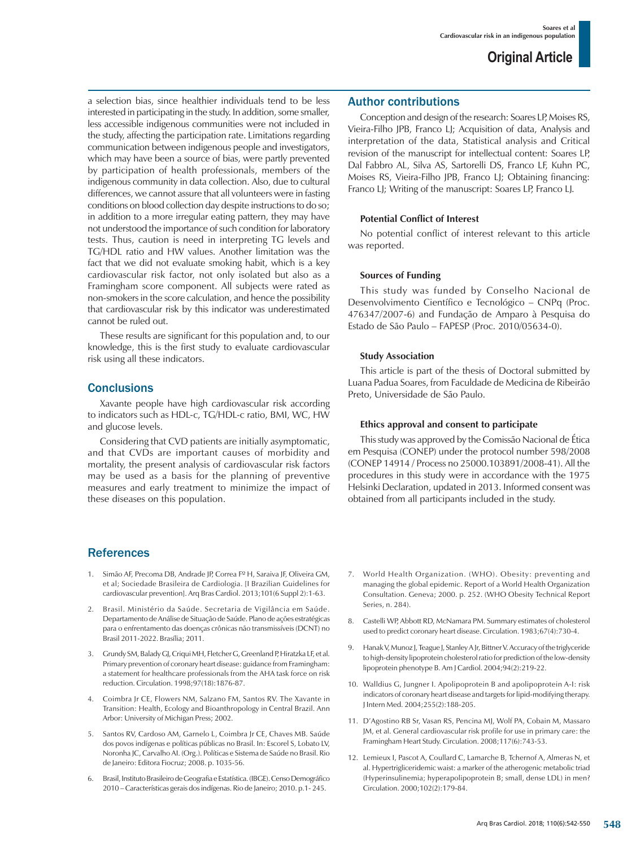a selection bias, since healthier individuals tend to be less interested in participating in the study. In addition, some smaller, less accessible indigenous communities were not included in the study, affecting the participation rate. Limitations regarding communication between indigenous people and investigators, which may have been a source of bias, were partly prevented by participation of health professionals, members of the indigenous community in data collection. Also, due to cultural differences, we cannot assure that all volunteers were in fasting conditions on blood collection day despite instructions to do so; in addition to a more irregular eating pattern, they may have not understood the importance of such condition for laboratory tests. Thus, caution is need in interpreting TG levels and TG/HDL ratio and HW values. Another limitation was the fact that we did not evaluate smoking habit, which is a key cardiovascular risk factor, not only isolated but also as a Framingham score component. All subjects were rated as non-smokers in the score calculation, and hence the possibility that cardiovascular risk by this indicator was underestimated cannot be ruled out.

These results are significant for this population and, to our knowledge, this is the first study to evaluate cardiovascular risk using all these indicators.

### **Conclusions**

Xavante people have high cardiovascular risk according to indicators such as HDL-c, TG/HDL-c ratio, BMI, WC, HW and glucose levels.

Considering that CVD patients are initially asymptomatic, and that CVDs are important causes of morbidity and mortality, the present analysis of cardiovascular risk factors may be used as a basis for the planning of preventive measures and early treatment to minimize the impact of these diseases on this population.

### **References**

- 1. Simão AF, Precoma DB, Andrade JP, Correa Fº H, Saraiva JF, Oliveira GM, et al; Sociedade Brasileira de Cardiologia. [I Brazilian Guidelines for cardiovascular prevention]. Arq Bras Cardiol. 2013;101(6 Suppl 2):1-63.
- 2. Brasil. Ministério da Saúde. Secretaria de Vigilância em Saúde. Departamento de Análise de Situação de Saúde. Plano de ações estratégicas para o enfrentamento das doenças crônicas não transmissíveis (DCNT) no Brasil 2011-2022. Brasília; 2011.
- 3. Grundy SM, Balady GJ, Criqui MH, Fletcher G, Greenland P, Hiratzka LF, et al. Primary prevention of coronary heart disease: guidance from Framingham: a statement for healthcare professionals from the AHA task force on risk reduction. Circulation. 1998;97(18):1876-87.
- 4. Coimbra Jr CE, Flowers NM, Salzano FM, Santos RV. The Xavante in Transition: Health, Ecology and Bioanthropology in Central Brazil. Ann Arbor: University of Michigan Press; 2002.
- 5. Santos RV, Cardoso AM, Garnelo L, Coimbra Jr CE, Chaves MB. Saúde dos povos indígenas e políticas públicas no Brasil. In: Escorel S, Lobato LV, Noronha JC, Carvalho AI. (Org.). Políticas e Sistema de Saúde no Brasil. Rio de Janeiro: Editora Fiocruz; 2008. p. 1035-56.
- 6. Brasil, Instituto Brasileiro de Geografia e Estatística. (IBGE). Censo Demográfico 2010 – Características gerais dos indígenas. Rio de Janeiro; 2010. p.1- 245.

### Author contributions

Conception and design of the research: Soares LP, Moises RS, Vieira-Filho JPB, Franco LJ; Acquisition of data, Analysis and interpretation of the data, Statistical analysis and Critical revision of the manuscript for intellectual content: Soares LP, Dal Fabbro AL, Silva AS, Sartorelli DS, Franco LF, Kuhn PC, Moises RS, Vieira-Filho JPB, Franco LJ; Obtaining financing: Franco LJ; Writing of the manuscript: Soares LP, Franco LJ.

### **Potential Conflict of Interest**

No potential conflict of interest relevant to this article was reported.

### **Sources of Funding**

This study was funded by Conselho Nacional de Desenvolvimento Científico e Tecnológico – CNPq (Proc. 476347/2007-6) and Fundação de Amparo à Pesquisa do Estado de São Paulo – FAPESP (Proc. 2010/05634-0).

### **Study Association**

This article is part of the thesis of Doctoral submitted by Luana Padua Soares, from Faculdade de Medicina de Ribeirão Preto, Universidade de São Paulo.

### **Ethics approval and consent to participate**

This study was approved by the Comissão Nacional de Ética em Pesquisa (CONEP) under the protocol number 598/2008 (CONEP 14914 / Process no 25000.103891/2008-41). All the procedures in this study were in accordance with the 1975 Helsinki Declaration, updated in 2013. Informed consent was obtained from all participants included in the study.

- World Health Organization. (WHO). Obesity: preventing and managing the global epidemic. Report of a World Health Organization Consultation. Geneva; 2000. p. 252. (WHO Obesity Technical Report Series, n. 284).
- 8. Castelli WP, Abbott RD, McNamara PM. Summary estimates of cholesterol used to predict coronary heart disease. Circulation. 1983;67(4):730-4.
- 9. Hanak V, Munoz J, Teague J, Stanley A Jr, Bittner V. Accuracy of the triglyceride to high-density lipoprotein cholesterol ratio for prediction of the low-density lipoprotein phenotype B. Am J Cardiol. 2004;94(2):219-22.
- 10. Walldius G, Jungner I. Apolipoprotein B and apolipoprotein A-I: risk indicators of coronary heart disease and targets for lipid-modifying therapy. J Intern Med. 2004;255(2):188-205.
- 11. D'Agostino RB Sr, Vasan RS, Pencina MJ, Wolf PA, Cobain M, Massaro JM, et al. General cardiovascular risk profile for use in primary care: the Framingham Heart Study. Circulation. 2008;117(6):743-53.
- 12. Lemieux I, Pascot A, Coullard C, Lamarche B, Tchernof A, Almeras N, et al. Hypertrigliceridemic waist: a marker of the atherogenic metabolic triad (Hyperinsulinemia; hyperapolipoprotein B; small, dense LDL) in men? Circulation. 2000;102(2):179-84.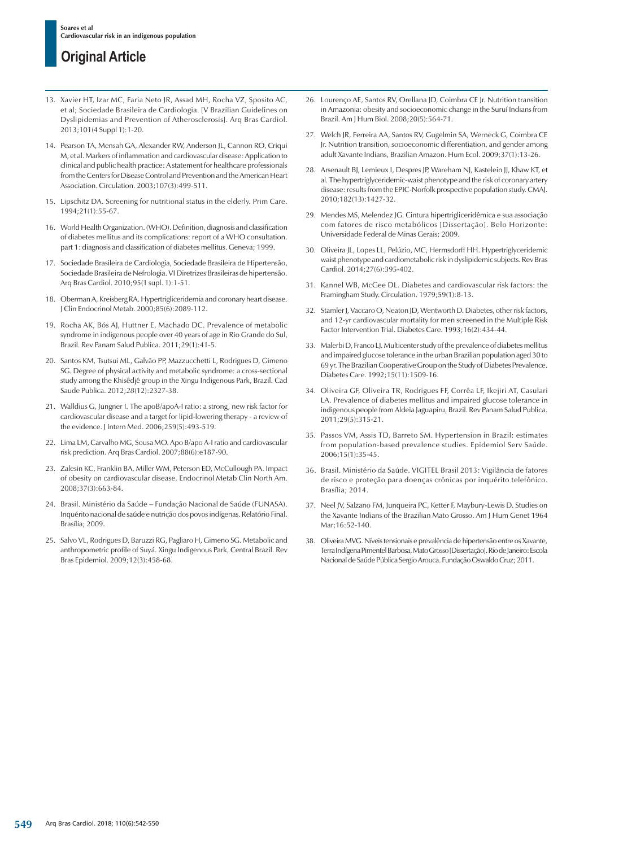- 13. Xavier HT, Izar MC, Faria Neto JR, Assad MH, Rocha VZ, Sposito AC, et al; Sociedade Brasileira de Cardiologia. [V Brazilian Guidelines on Dyslipidemias and Prevention of Atherosclerosis]. Arq Bras Cardiol. 2013;101(4 Suppl 1):1-20.
- 14. Pearson TA, Mensah GA, Alexander RW, Anderson JL, Cannon RO, Criqui M, et al. Markers of inflammation and cardiovascular disease: Application to clinical and public health practice: A statement for healthcare professionals from the Centers for Disease Control and Prevention and the American Heart Association. Circulation. 2003;107(3):499-511.
- 15. Lipschitz DA. Screening for nutritional status in the elderly. Prim Care. 1994;21(1):55-67.
- 16. World Health Organization. (WHO). Definition, diagnosis and classification of diabetes mellitus and its complications: report of a WHO consultation. part 1: diagnosis and classification of diabetes mellitus. Geneva; 1999.
- 17. Sociedade Brasileira de Cardiologia, Sociedade Brasileira de Hipertensão, Sociedade Brasileira de Nefrologia. VI Diretrizes Brasileiras de hipertensão. Arq Bras Cardiol. 2010;95(1 supl. 1):1-51.
- 18. Oberman A, Kreisberg RA. Hypertrigliceridemia and coronary heart disease. J Clin Endocrinol Metab. 2000;85(6):2089-112.
- 19. Rocha AK, Bós AJ, Huttner E, Machado DC. Prevalence of metabolic syndrome in indigenous people over 40 years of age in Rio Grande do Sul, Brazil. Rev Panam Salud Publica. 2011;29(1):41-5.
- 20. Santos KM, Tsutsui ML, Galvão PP, Mazzucchetti L, Rodrigues D, Gimeno SG. Degree of physical activity and metabolic syndrome: a cross-sectional study among the Khisêdjê group in the Xingu Indigenous Park, Brazil. Cad Saude Publica. 2012;*28*(12):2327-38.
- 21. Walldius G, Jungner I. The apoB/apoA-I ratio: a strong, new risk factor for cardiovascular disease and a target for lipid-lowering therapy - a review of the evidence. J Intern Med. 2006;259(5):493-519.
- 22. Lima LM, Carvalho MG, Sousa MO. Apo B/apo A-I ratio and cardiovascular risk prediction. Arq Bras Cardiol. 2007;88(6):e187-90.
- 23. Zalesin KC, Franklin BA, Miller WM, Peterson ED, McCullough PA. Impact of obesity on cardiovascular disease. Endocrinol Metab Clin North Am. 2008;37(3):663-84.
- 24. Brasil. Ministério da Saúde Fundação Nacional de Saúde (FUNASA). Inquérito nacional de saúde e nutrição dos povos indígenas. Relatório Final. Brasília; 2009.
- 25. Salvo VL, Rodrigues D, Baruzzi RG, Pagliaro H, Gimeno SG. Metabolic and anthropometric profile of Suyá. Xingu Indigenous Park, Central Brazil. Rev Bras Epidemiol. 2009;12(3):458-68.
- 26. Lourenço AE, Santos RV, Orellana JD, Coimbra CE Jr. Nutrition transition in Amazonia: obesity and socioeconomic change in the Suruí Indians from Brazil. Am J Hum Biol. 2008;20(5):564-71.
- 27. Welch JR, Ferreira AA, Santos RV, Gugelmin SA, Werneck G, Coimbra CE Jr. Nutrition transition, socioeconomic differentiation, and gender among adult Xavante Indians, Brazilian Amazon. Hum Ecol. 2009;37(1):13-26.
- 28. Arsenault BJ, Lemieux I, Despres JP, Wareham NJ, Kastelein JJ, Khaw KT, et al*.* The hypertriglyceridemic-waist phenotype and the risk of coronary artery disease: results from the EPIC-Norfolk prospective population study. CMAJ. 2010;182(13):1427-32.
- 29. Mendes MS, Melendez JG. Cintura hipertrigliceridêmica e sua associação com fatores de risco metabólicos [Dissertação]. Belo Horizonte: Universidade Federal de Minas Gerais; 2009.
- 30. Oliveira JL, Lopes LL, Pelúzio, MC, Hermsdorff HH. Hypertriglyceridemic waist phenotype and cardiometabolic risk in dyslipidemic subjects. Rev Bras Cardiol. 2014;27(6):395-402.
- 31. Kannel WB, McGee DL. Diabetes and cardiovascular risk factors: the Framingham Study. Circulation. 1979;59(1):8-13.
- 32. Stamler J, Vaccaro O, Neaton JD, Wentworth D, Diabetes, other risk factors, and 12-yr cardiovascular mortality for men screened in the Multiple Risk Factor Intervention Trial. Diabetes Care. 1993;16(2):434-44.
- 33. Malerbi D, Franco LJ. Multicenter study of the prevalence of diabetes mellitus and impaired glucose tolerance in the urban Brazilian population aged 30 to 69 yr. The Brazilian Cooperative Group on the Study of Diabetes Prevalence. Diabetes Care. 1992;15(11):1509-16.
- 34. Oliveira GF, Oliveira TR, Rodrigues FF, Corrêa LF, Ikejiri AT, Casulari LA. Prevalence of diabetes mellitus and impaired glucose tolerance in indigenous people from Aldeia Jaguapiru, Brazil. Rev Panam Salud Publica. 2011;29(5):315-21.
- 35. Passos VM, Assis TD, Barreto SM. Hypertension in Brazil: estimates from population-based prevalence studies. Epidemiol Serv Saúde. 2006;15(1):35-45.
- 36. Brasil. Ministério da Saúde. VIGITEL Brasil 2013: Vigilância de fatores de risco e proteção para doenças crônicas por inquérito telefônico. Brasília; 2014.
- 37. Neel JV, Salzano FM, Junqueira PC, Ketter F, Maybury-Lewis D. Studies on the Xavante Indians of the Brazilian Mato Grosso. Am J Hum Genet 1964 Mar;16:52-140.
- 38. Oliveira MVG. Níveis tensionais e prevalência de hipertensão entre os Xavante, Terra Indígena Pimentel Barbosa, Mato Grosso [Dissertação]. Rio de Janeiro: Escola Nacional de Saúde Pública Sergio Arouca. Fundação Oswaldo Cruz; 2011.